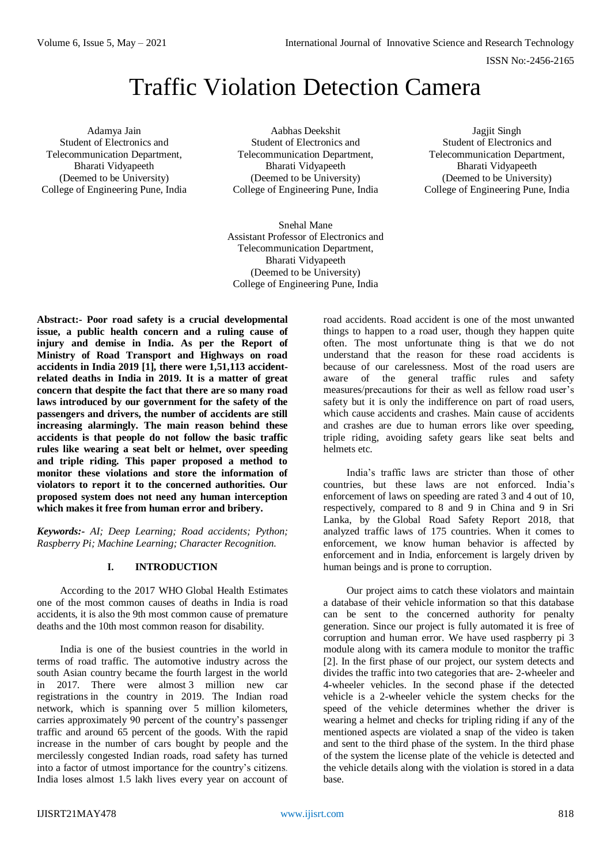ISSN No:-2456-2165

Jagjit Singh Student of Electronics and Telecommunication Department, Bharati Vidyapeeth (Deemed to be University) College of Engineering Pune, India

# Traffic Violation Detection Camera

Adamya Jain Student of Electronics and Telecommunication Department, Bharati Vidyapeeth (Deemed to be University) College of Engineering Pune, India

Aabhas Deekshit Student of Electronics and Telecommunication Department, Bharati Vidyapeeth (Deemed to be University) College of Engineering Pune, India

Snehal Mane Assistant Professor of Electronics and Telecommunication Department, Bharati Vidyapeeth (Deemed to be University) College of Engineering Pune, India

**Abstract:- Poor road safety is a crucial developmental issue, a public health concern and a ruling cause of injury and demise in India. As per the Report of Ministry of Road Transport and Highways on road accidents in India 2019 [1], there were 1,51,113 accidentrelated deaths in India in 2019. It is a matter of great concern that despite the fact that there are so many road laws introduced by our government for the safety of the passengers and drivers, the number of accidents are still increasing alarmingly. The main reason behind these accidents is that people do not follow the basic traffic rules like wearing a seat belt or helmet, over speeding and triple riding. This paper proposed a method to monitor these violations and store the information of violators to report it to the concerned authorities. Our proposed system does not need any human interception which makes it free from human error and bribery.**

*Keywords:- AI; Deep Learning; Road accidents; Python; Raspberry Pi; Machine Learning; Character Recognition.*

## **I. INTRODUCTION**

According to the 2017 WHO [Global Health Estimates](http://www.healthdata.org/india) one of the most common causes of deaths in India is road accidents, it is also the 9th most common cause of premature deaths and the 10th most common reason for disability.

India is one of the busiest countries in the world in terms of road traffic. The automotive industry across the south Asian country became the fourth largest in the world in 2017. There were almost 3 [million](https://www.statista.com/statistics/269872/largest-automobile-markets-worldwide-based-on-new-car-registrations/) new car [registrations](https://www.statista.com/statistics/269872/largest-automobile-markets-worldwide-based-on-new-car-registrations/) in the country in 2019. The Indian road network, which is spanning over 5 million kilometers, carries approximately 90 percent of the country's passenger traffic and around 65 percent of the goods. With the rapid increase in the number of cars bought by people and the mercilessly congested Indian roads, road safety has turned into a factor of utmost importance for the country's citizens. India loses almost 1.5 lakh lives every year on account of road accidents. Road accident is one of the most unwanted things to happen to a road user, though they happen quite often. The most unfortunate thing is that we do not understand that the reason for these road accidents is because of our carelessness. Most of the road users are aware of the general traffic rules and safety measures/precautions for their as well as fellow road user's safety but it is only the indifference on part of road users, which cause accidents and crashes. Main cause of accidents and crashes are due to human errors like over speeding, triple riding, avoiding safety gears like seat belts and helmets etc.

India's traffic laws are stricter than those of other countries, but these laws are not enforced. India's enforcement of laws on speeding are rated 3 and 4 out of 10, respectively, compared to 8 and 9 in China and 9 in Sri Lanka, by the [Global Road Safety Report 2018,](https://apps.who.int/iris/bitstream/handle/10665/276462/9789241565684-eng.pdf?ua=1) that analyzed traffic laws of 175 countries. When it comes to enforcement, we know human behavior is affected by enforcement and in India, enforcement is largely driven by human beings and is prone to corruption.

Our project aims to catch these violators and maintain a database of their vehicle information so that this database can be sent to the concerned authority for penalty generation. Since our project is fully automated it is free of corruption and human error. We have used raspberry pi 3 module along with its camera module to monitor the traffic [2]. In the first phase of our project, our system detects and divides the traffic into two categories that are- 2-wheeler and 4-wheeler vehicles. In the second phase if the detected vehicle is a 2-wheeler vehicle the system checks for the speed of the vehicle determines whether the driver is wearing a helmet and checks for tripling riding if any of the mentioned aspects are violated a snap of the video is taken and sent to the third phase of the system. In the third phase of the system the license plate of the vehicle is detected and the vehicle details along with the violation is stored in a data base.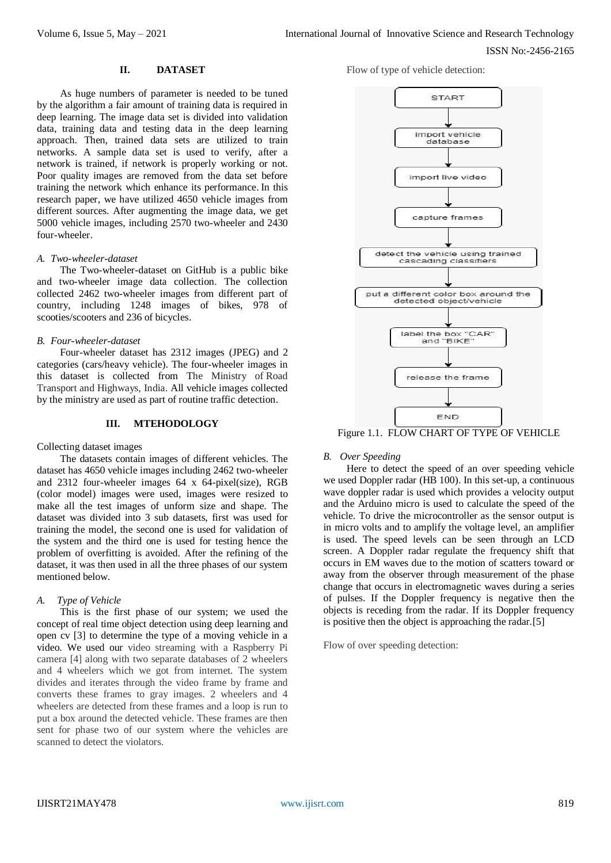## **II. DATASET**

As huge numbers of parameter is needed to be tuned by the algorithm a fair amount of training data is required in deep learning. The image data set is divided into validation data, training data and testing data in the deep learning approach. Then, trained data sets are utilized to train networks. A sample data set is used to verify, after a network is trained, if network is properly working or not. Poor quality images are removed from the data set before training the network which enhance its performance. In this research paper, we have utilized 4650 vehicle images from different sources. After augmenting the image data, we get 5000 vehicle images, including 2570 two-wheeler and 2430 four-wheeler.

#### *A. Two-wheeler-dataset*

The Two-wheeler-dataset on GitHub is a public bike and two-wheeler image data collection. The collection collected 2462 two-wheeler images from different part of country, including 1248 images of bikes, 978 of scooties/scooters and 236 of bicycles.

#### *B. Four-wheeler-dataset*

Four-wheeler dataset has 2312 images (JPEG) and 2 categories (cars/heavy vehicle). The four-wheeler images in this dataset is collected from The Ministry of Road Transport and Highways, India. All vehicle images collected by the ministry are used as part of routine traffic detection.

## **III. MTEHODOLOGY**

#### Collecting dataset images

The datasets contain images of different vehicles. The dataset has 4650 vehicle images including 2462 two-wheeler and 2312 four-wheeler images 64 x 64-pixel(size), RGB (color model) images were used, images were resized to make all the test images of unform size and shape. The dataset was divided into 3 sub datasets, first was used for training the model, the second one is used for validation of the system and the third one is used for testing hence the problem of overfitting is avoided. After the refining of the dataset, it was then used in all the three phases of our system mentioned below.

#### *A. Type of Vehicle*

This is the first phase of our system; we used the concept of real time object detection using deep learning and open cv [3] to determine the type of a moving vehicle in a video. We used our video streaming with a Raspberry Pi camera [4] along with two separate databases of 2 wheelers and 4 wheelers which we got from internet. The system divides and iterates through the video frame by frame and converts these frames to gray images. 2 wheelers and 4 wheelers are detected from these frames and a loop is run to put a box around the detected vehicle. These frames are then sent for phase two of our system where the vehicles are scanned to detect the violators.

Flow of type of vehicle detection:



Figure 1.1. FLOW CHART OF TYPE OF VEHICLE

#### *B. Over Speeding*

Here to detect the speed of an over speeding vehicle we used Doppler radar (HB 100). In this set-up, a continuous wave doppler radar is used which provides a velocity output and the Arduino micro is used to calculate the speed of the vehicle. To drive the microcontroller as the sensor output is in micro volts and to amplify the voltage level, an amplifier is used. The speed levels can be seen through an LCD screen. A Doppler radar regulate the frequency shift that occurs in EM waves due to the motion of scatters toward or away from the observer through measurement of the phase change that occurs in electromagnetic waves during a series of pulses. If the Doppler frequency is negative then the objects is receding from the radar. If its Doppler frequency is positive then the object is approaching the radar.[5]

Flow of over speeding detection: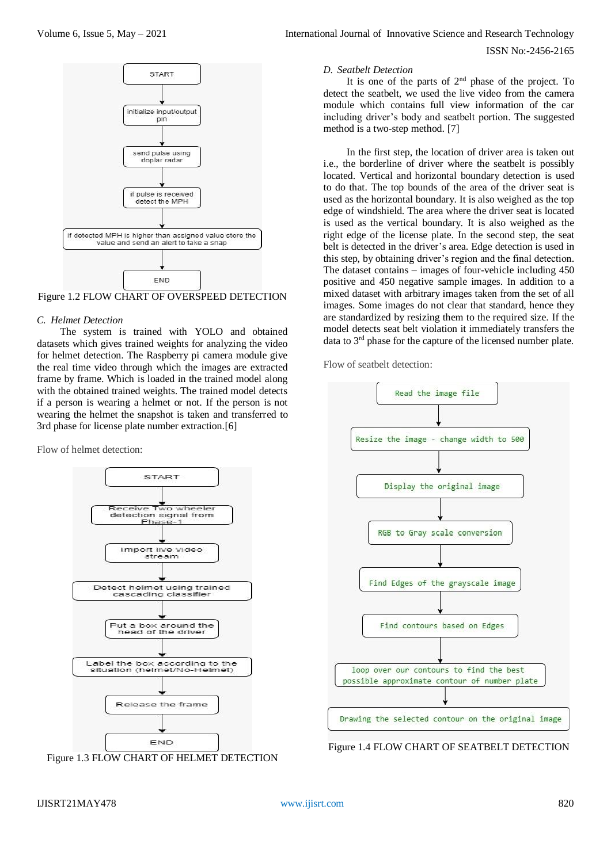



#### *C. Helmet Detection*

The system is trained with YOLO and obtained datasets which gives trained weights for analyzing the video for helmet detection. The Raspberry pi camera module give the real time video through which the images are extracted frame by frame. Which is loaded in the trained model along with the obtained trained weights. The trained model detects if a person is wearing a helmet or not. If the person is not wearing the helmet the snapshot is taken and transferred to 3rd phase for license plate number extraction.[6]

Flow of helmet detection:





ISSN No:-2456-2165

#### *D. Seatbelt Detection*

It is one of the parts of  $2<sup>nd</sup>$  phase of the project. To detect the seatbelt, we used the live video from the camera module which contains full view information of the car including driver's body and seatbelt portion. The suggested method is a two-step method. [7]

In the first step, the location of driver area is taken out i.e., the borderline of driver where the seatbelt is possibly located. Vertical and horizontal boundary detection is used to do that. The top bounds of the area of the driver seat is used as the horizontal boundary. It is also weighed as the top edge of windshield. The area where the driver seat is located is used as the vertical boundary. It is also weighed as the right edge of the license plate. In the second step, the seat belt is detected in the driver's area. Edge detection is used in this step, by obtaining driver's region and the final detection. The dataset contains – images of four-vehicle including 450 positive and 450 negative sample images. In addition to a mixed dataset with arbitrary images taken from the set of all images. Some images do not clear that standard, hence they are standardized by resizing them to the required size. If the model detects seat belt violation it immediately transfers the data to  $3<sup>rd</sup>$  phase for the capture of the licensed number plate.

Flow of seatbelt detection:



Figure 1.4 FLOW CHART OF SEATBELT DETECTION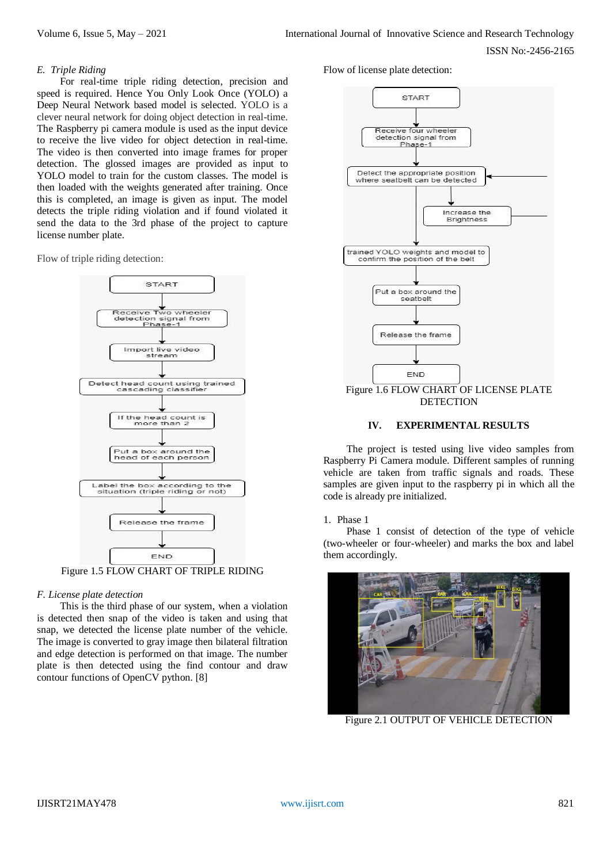## *E. Triple Riding*

For real-time triple riding detection, precision and speed is required. Hence You Only Look Once (YOLO) a Deep Neural Network based model is selected. YOLO is a clever neural network for doing object detection in real-time. The Raspberry pi camera module is used as the input device to receive the live video for object detection in real-time. The video is then converted into image frames for proper detection. The glossed images are provided as input to YOLO model to train for the custom classes. The model is then loaded with the weights generated after training. Once this is completed, an image is given as input. The model detects the triple riding violation and if found violated it send the data to the 3rd phase of the project to capture license number plate.

Flow of triple riding detection:



Figure 1.5 FLOW CHART OF TRIPLE RIDING

# *F. License plate detection*

This is the third phase of our system, when a violation is detected then snap of the video is taken and using that snap, we detected the license plate number of the vehicle. The image is converted to gray image then bilateral filtration and edge detection is performed on that image. The number plate is then detected using the find contour and draw contour functions of OpenCV python. [8]

Flow of license plate detection:



**DETECTION** 

# **IV. EXPERIMENTAL RESULTS**

The project is tested using live video samples from Raspberry Pi Camera module. Different samples of running vehicle are taken from traffic signals and roads. These samples are given input to the raspberry pi in which all the code is already pre initialized.

1. Phase 1

Phase 1 consist of detection of the type of vehicle (two-wheeler or four-wheeler) and marks the box and label them accordingly.



Figure 2.1 OUTPUT OF VEHICLE DETECTION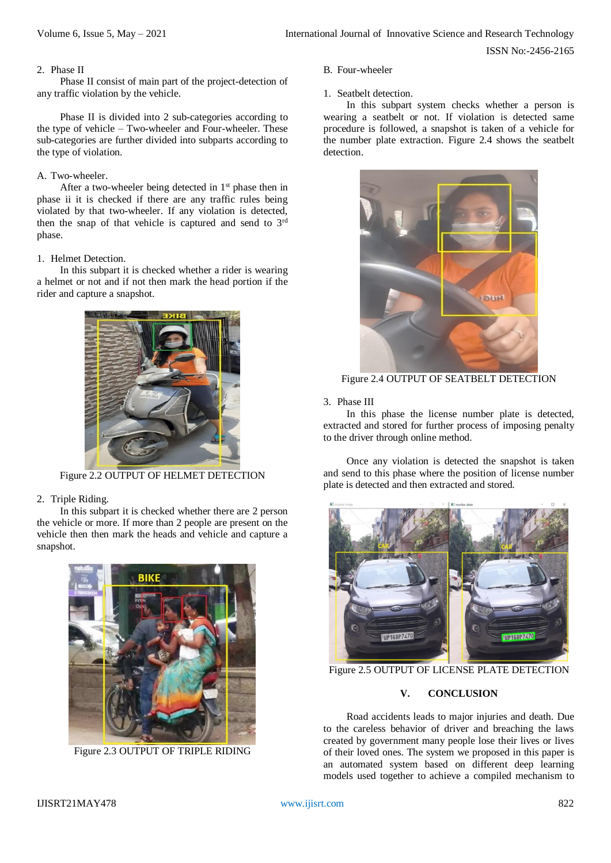ISSN No:-2456-2165

## 2. Phase II

Phase II consist of main part of the project-detection of any traffic violation by the vehicle.

Phase II is divided into 2 sub-categories according to the type of vehicle – Two-wheeler and Four-wheeler. These sub-categories are further divided into subparts according to the type of violation.

# A. Two-wheeler.

After a two-wheeler being detected in  $1<sup>st</sup>$  phase then in phase ii it is checked if there are any traffic rules being violated by that two-wheeler. If any violation is detected, then the snap of that vehicle is captured and send to 3rd phase.

# 1. Helmet Detection.

In this subpart it is checked whether a rider is wearing a helmet or not and if not then mark the head portion if the rider and capture a snapshot.



Figure 2.2 OUTPUT OF HELMET DETECTION

# 2. Triple Riding.

In this subpart it is checked whether there are 2 person the vehicle or more. If more than 2 people are present on the vehicle then then mark the heads and vehicle and capture a snapshot.



Figure 2.3 OUTPUT OF TRIPLE RIDING

## B. Four-wheeler

1. Seatbelt detection.

In this subpart system checks whether a person is wearing a seatbelt or not. If violation is detected same procedure is followed, a snapshot is taken of a vehicle for the number plate extraction. Figure 2.4 shows the seatbelt detection.



Figure 2.4 OUTPUT OF SEATBELT DETECTION

## 3. Phase III

In this phase the license number plate is detected, extracted and stored for further process of imposing penalty to the driver through online method.

Once any violation is detected the snapshot is taken and send to this phase where the position of license number plate is detected and then extracted and stored.



Figure 2.5 OUTPUT OF LICENSE PLATE DETECTION

## **V. CONCLUSION**

Road accidents leads to major injuries and death. Due to the careless behavior of driver and breaching the laws created by government many people lose their lives or lives of their loved ones. The system we proposed in this paper is an automated system based on different deep learning models used together to achieve a compiled mechanism to